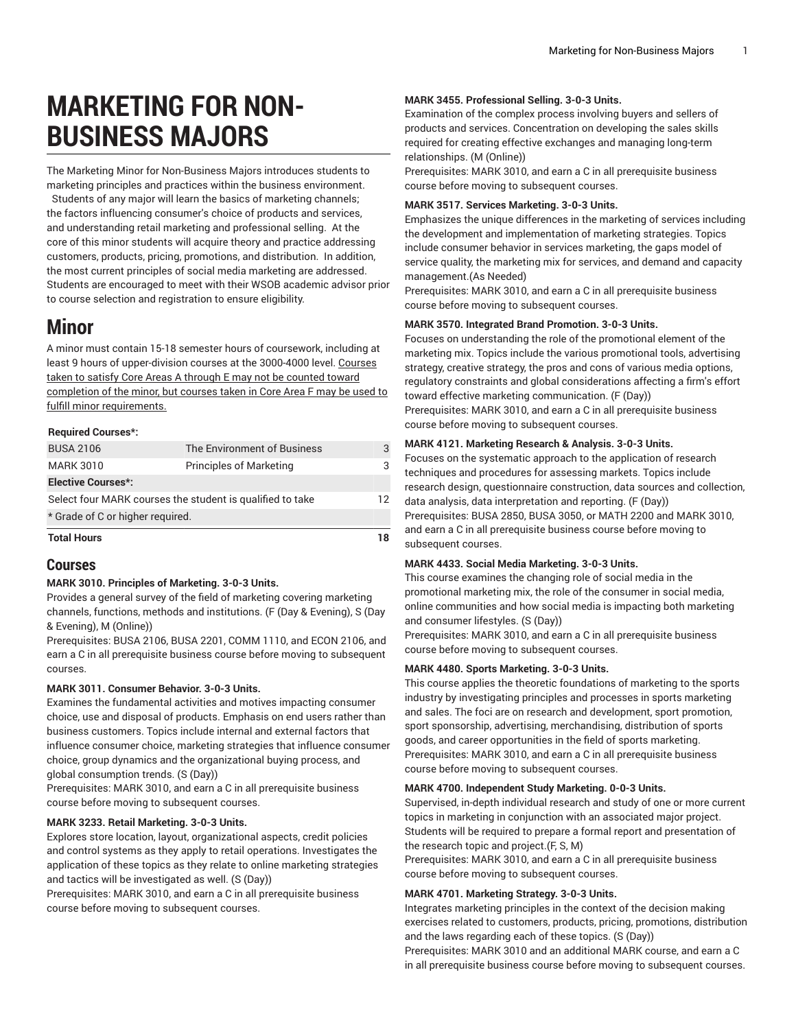# **MARKETING FOR NON-BUSINESS MAJORS**

The Marketing Minor for Non-Business Majors introduces students to marketing principles and practices within the business environment.

Students of any major will learn the basics of marketing channels; the factors influencing consumer's choice of products and services, and understanding retail marketing and professional selling. At the core of this minor students will acquire theory and practice addressing customers, products, pricing, promotions, and distribution. In addition, the most current principles of social media marketing are addressed. Students are encouraged to meet with their WSOB academic advisor prior to course selection and registration to ensure eligibility.

# **Minor**

A minor must contain 15-18 semester hours of coursework, including at least 9 hours of upper-division courses at the 3000-4000 level. Courses taken to satisfy Core Areas A through E may not be counted toward completion of the minor, but courses taken in Core Area F may be used to fulfill minor requirements.

#### **Required Courses\*:**

| <b>Total Hours</b>                                        |                                |    |
|-----------------------------------------------------------|--------------------------------|----|
| * Grade of C or higher required.                          |                                |    |
| Select four MARK courses the student is qualified to take |                                | 12 |
| <b>Elective Courses*:</b>                                 |                                |    |
| <b>MARK 3010</b>                                          | <b>Principles of Marketing</b> |    |
| <b>BUSA 2106</b>                                          | The Environment of Business    |    |
|                                                           |                                |    |

# **Courses**

# **MARK 3010. Principles of Marketing. 3-0-3 Units.**

Provides a general survey of the field of marketing covering marketing channels, functions, methods and institutions. (F (Day & Evening), S (Day & Evening), M (Online))

Prerequisites: [BUSA 2106,](/search/?P=BUSA%202106) [BUSA 2201](/search/?P=BUSA%202201), [COMM 1110](/search/?P=COMM%201110), and [ECON 2106](/search/?P=ECON%202106), and earn a C in all prerequisite business course before moving to subsequent courses.

# **MARK 3011. Consumer Behavior. 3-0-3 Units.**

Examines the fundamental activities and motives impacting consumer choice, use and disposal of products. Emphasis on end users rather than business customers. Topics include internal and external factors that influence consumer choice, marketing strategies that influence consumer choice, group dynamics and the organizational buying process, and global consumption trends. (S (Day))

Prerequisites: [MARK](/search/?P=MARK%203010) 3010, and earn a C in all prerequisite business course before moving to subsequent courses.

# **MARK 3233. Retail Marketing. 3-0-3 Units.**

Explores store location, layout, organizational aspects, credit policies and control systems as they apply to retail operations. Investigates the application of these topics as they relate to online marketing strategies and tactics will be investigated as well. (S (Day))

Prerequisites: [MARK](/search/?P=MARK%203010) 3010, and earn a C in all prerequisite business course before moving to subsequent courses.

### **MARK 3455. Professional Selling. 3-0-3 Units.**

Examination of the complex process involving buyers and sellers of products and services. Concentration on developing the sales skills required for creating effective exchanges and managing long-term relationships. (M (Online))

Prerequisites: [MARK](/search/?P=MARK%203010) 3010, and earn a C in all prerequisite business course before moving to subsequent courses.

### **MARK 3517. Services Marketing. 3-0-3 Units.**

Emphasizes the unique differences in the marketing of services including the development and implementation of marketing strategies. Topics include consumer behavior in services marketing, the gaps model of service quality, the marketing mix for services, and demand and capacity management.(As Needed)

Prerequisites: [MARK](/search/?P=MARK%203010) 3010, and earn a C in all prerequisite business course before moving to subsequent courses.

# **MARK 3570. Integrated Brand Promotion. 3-0-3 Units.**

Focuses on understanding the role of the promotional element of the marketing mix. Topics include the various promotional tools, advertising strategy, creative strategy, the pros and cons of various media options, regulatory constraints and global considerations affecting a firm's effort toward effective marketing communication. (F (Day)) Prerequisites: [MARK](/search/?P=MARK%203010) 3010, and earn a C in all prerequisite business course before moving to subsequent courses.

### **MARK 4121. Marketing Research & Analysis. 3-0-3 Units.**

Focuses on the systematic approach to the application of research techniques and procedures for assessing markets. Topics include research design, questionnaire construction, data sources and collection, data analysis, data interpretation and reporting. (F (Day)) Prerequisites: [BUSA 2850](/search/?P=BUSA%202850), [BUSA 3050,](/search/?P=BUSA%203050) or MATH 2200 and [MARK](/search/?P=MARK%203010) 3010, and earn a C in all prerequisite business course before moving to subsequent courses.

# **MARK 4433. Social Media Marketing. 3-0-3 Units.**

This course examines the changing role of social media in the promotional marketing mix, the role of the consumer in social media, online communities and how social media is impacting both marketing and consumer lifestyles. (S (Day))

Prerequisites: [MARK](/search/?P=MARK%203010) 3010, and earn a C in all prerequisite business course before moving to subsequent courses.

# **MARK 4480. Sports Marketing. 3-0-3 Units.**

This course applies the theoretic foundations of marketing to the sports industry by investigating principles and processes in sports marketing and sales. The foci are on research and development, sport promotion, sport sponsorship, advertising, merchandising, distribution of sports goods, and career opportunities in the field of sports marketing. Prerequisites: [MARK](/search/?P=MARK%203010) 3010, and earn a C in all prerequisite business course before moving to subsequent courses.

#### **MARK 4700. Independent Study Marketing. 0-0-3 Units.**

Supervised, in-depth individual research and study of one or more current topics in marketing in conjunction with an associated major project. Students will be required to prepare a formal report and presentation of the research topic and project.(F, S, M)

Prerequisites: [MARK](/search/?P=MARK%203010) 3010, and earn a C in all prerequisite business course before moving to subsequent courses.

#### **MARK 4701. Marketing Strategy. 3-0-3 Units.**

Integrates marketing principles in the context of the decision making exercises related to customers, products, pricing, promotions, distribution and the laws regarding each of these topics. (S (Day))

Prerequisites: [MARK](/search/?P=MARK%203010) 3010 and an additional MARK course, and earn a C in all prerequisite business course before moving to subsequent courses.